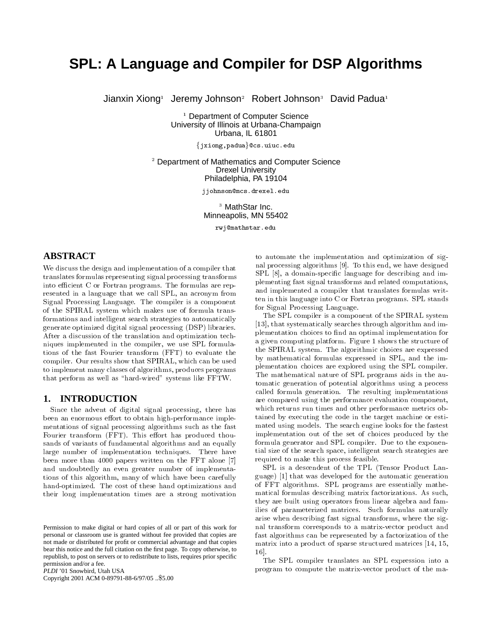# **SPL: A Language and Compiler for DSP Algorithms**

Jianxin Xiong<sup>1</sup> Jeremy Johnson<sup>2</sup> Robert Johnson<sup>3</sup> David Padua<sup>1</sup>

<sup>1</sup> Department of Computer Science University of Illinois at Urbana-Champaign Urbana, IL 61801

 ${jxiong,}$  padua ${o}$ cs.uiuc.edu

 $2$  Department of Mathematics and Computer Science **Drexel University** Philadelphia, PA 19104

jjohnson@mcs.drexel.edu

<sup>3</sup> MathStar Inc. Minneapolis, MN 55402

rwj@mathstar.edu

# **ABSTRACT**

We discuss the design and implementation of a compiler that translates formulas representing signal processing transforms into efficient C or Fortran programs. The formulas are represented in a language that we call SPL, an acronym from Signal Processing Language. The compiler is a component of the SPIRAL system which makes use of formula transformations and intelligent search strategies to automatically generate optimized digital signal processing (DSP) libraries. After a discussion of the translation and optimization techniques implemented in the compiler, we use SPL formulations of the fast Fourier transform (FFT) to evaluate the compiler. Our results show that SPIRAL, which can be used to implement many classes of algorithms, produces programs that perform as well as "hard-wired" systems like FFTW.

#### **INTRODUCTION** 1.

Since the advent of digital signal processing, there has been an enormous effort to obtain high-performance implementations of signal processing algorithms such as the fast Fourier transform (FFT). This effort has produced thousands of variants of fundamental algorithms and an equally large number of implementation techniques. There have been more than 4000 papers written on the FFT alone [7] and undoubtedly an even greater number of implementations of this algorithm, many of which have been carefully hand-optimized. The cost of these hand optimizations and their long implementation times are a strong motivation

PLDI '01 Snowbird, Utah USA

Copyright 2001 ACM 0-89791-88-6/97/05 ..\$5.00

to automate the implementation and optimization of signal processing algorithms [9]. To this end, we have designed SPL [8], a domain-specific language for describing and implementing fast signal transforms and related computations, and implemented a compiler that translates formulas written in this language into C or Fortran programs. SPL stands for Signal Processing Language.

The SPL compiler is a component of the SPIRAL system [13], that systematically searches through algorithm and implementation choices to find an optimal implementation for a given computing platform. Figure 1 shows the structure of the SPIRAL system. The algorithmic choices are expressed by mathematical formulas expressed in SPL, and the implementation choices are explored using the SPL compiler. The mathematical nature of SPL programs aids in the automatic generation of potential algorithms using a process called formula generation. The resulting implementations are compared using the performance evaluation component, which returns run times and other performance metrics obtained by executing the code in the target machine or estimated using models. The search engine looks for the fastest implementation out of the set of choices produced by the formula generator and SPL compiler. Due to the exponential size of the search space, intelligent search strategies are required to make this process feasible.

SPL is a descendent of the TPL (Tensor Product Language) [1] that was developed for the automatic generation of FFT algorithms. SPL programs are essentially mathematical formulas describing matrix factorizations. As such, they are built using operators from linear algebra and families of parameterized matrices. Such formulas naturally arise when describing fast signal transforms, where the signal transform corresponds to a matrix-vector product and fast algorithms can be represented by a factorization of the matrix into a product of sparse structured matrices [14, 15,  $16$ .

The SPL compiler translates an SPL expression into a program to compute the matrix-vector product of the ma-

Permission to make digital or hard copies of all or part of this work for personal or classroom use is granted without fee provided that copies are not made or distributed for profit or commercial advantage and that copies bear this notice and the full citation on the first page. To copy otherwise, to republish, to post on servers or to redistribute to lists, requires prior specific permission and/or a fee.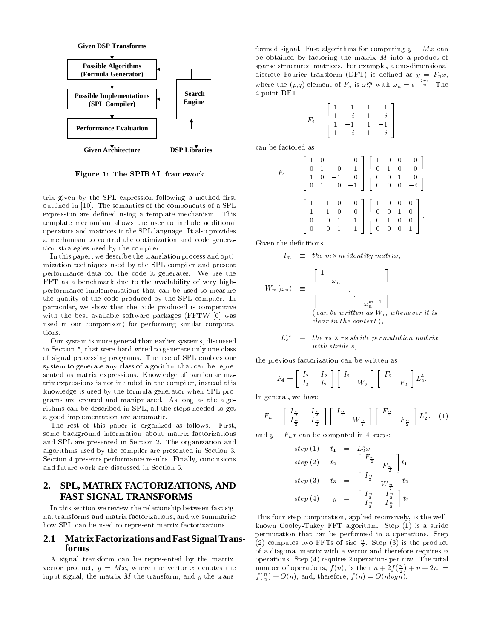

Figure 1: The SPIRAL framework

trix given by the SPL expression following a method first outlined in [10]. The semantics of the components of a SPL expression are defined using a template mechanism. This template mechanism allows the user to include additional operators and matrices in the SPL language. It also provides a mechanism to control the optimization and code generation strategies used by the compiler.

In this paper, we describe the translation process and optimization techniques used by the SPL compiler and present performance data for the code it generates. We use the FFT as a benchmark due to the availability of very highperformance implementations that can be used to measure the quality of the code produced by the SPL compiler. In particular, we show that the code produced is competitive with the best available software packages (FFTW [6] was used in our comparison) for performing similar computations.

Our system is more general than earlier systems, discussed in Section 5, that were hard-wired to generate only one class of signal processing programs. The use of SPL enables our system to generate any class of algorithm that can be represented as matrix expressions. Knowledge of particular matrix expressions is not included in the compiler, instead this knowledge is used by the formula generator when SPL programs are created and manipulated. As long as the algorithms can be described in SPL, all the steps needed to get a good implementation are automatic.

The rest of this paper is organized as follows. First, some background information about matrix factorizations and SPL are presented in Section 2. The organization and algorithms used by the compiler are presented in Section 3. Section 4 presents performance results. Finally, conclusions and future work are discussed in Section 5.

### SPL, MATRIX FACTORIZATIONS, AND 2. **FAST SIGNAL TRANSFORMS**

In this section we review the relationship between fast signal transforms and matrix factorizations, and we summarize how SPL can be used to represent matrix factorizations.

#### **2.1 Matrix Factorizations and Fast Signal Trans**forms

A signal transform can be represented by the matrixvector product,  $y = Mx$ , where the vector x denotes the input signal, the matrix  $M$  the transform, and  $y$  the transformed signal. Fast algorithms for computing  $y = Mx$  can be obtained by factoring the matrix  $M$  into a product of sparse structured matrices. For example, a one-dimensional discrete Fourier transform (DFT) is defined as  $y = F_n x$ , where the  $(p,q)$  element of  $F_n$  is  $\omega_n^{pq}$  with  $\omega_n = e^{-\frac{2\pi i}{n}}$ . The 4-point DFT

$$
F_4=\left[\begin{array}{rrrr}1 & 1 & 1 & 1 \\ 1 & -i & -1 & i \\ 1 & -1 & 1 & -1 \\ 1 & i & -1 & -i \end{array}\right]
$$

can be factored as

$$
F_4 = \begin{bmatrix} 1 & 0 & 1 & 0 \\ 0 & 1 & 0 & 1 \\ 1 & 0 & -1 & 0 \\ 0 & 1 & 0 & -1 \end{bmatrix} \begin{bmatrix} 1 & 0 & 0 & 0 \\ 0 & 1 & 0 & 0 \\ 0 & 0 & 1 & 0 \\ 0 & 0 & 0 & -i \end{bmatrix}
$$

$$
\begin{bmatrix} 1 & 1 & 0 & 0 \\ 1 & -1 & 0 & 0 \\ 0 & 0 & 1 & 1 \\ 0 & 0 & 1 & -1 \end{bmatrix} \begin{bmatrix} 1 & 0 & 0 & 0 \\ 0 & 0 & 1 & 0 \\ 0 & 1 & 0 & 0 \\ 0 & 0 & 0 & 1 \end{bmatrix}.
$$

Given the definitions

$$
I_m \equiv \text{the } m \times m \text{ identity matrix},
$$

$$
W_m(\omega_n) = \begin{bmatrix} 1 & & & \\ & \omega_n & & \\ & & \ddots & \\ & & & \omega_n^{m-1} \\ (can be written as W_m whenever it is \\\ clear in the context), \end{bmatrix}
$$

$$
L_s^{rs} \equiv \text{the } rs \times rs \text{ stride permutation matrix}
$$
  
with stride s.

the previous factorization can be written as

$$
F_4 = \left[ \begin{array}{cc} I_2 & I_2 \\ I_2 & -I_2 \end{array} \right] \left[ \begin{array}{cc} I_2 & \\ & W_2 \end{array} \right] \left[ \begin{array}{cc} F_2 & \\ & F_2 \end{array} \right] L_2^4.
$$

In general, we have

$$
F_n = \begin{bmatrix} I_n & I_n \\ I_n^2 & -I_n^2 \end{bmatrix} \begin{bmatrix} I_n & I_n \\ & W_n^2 \end{bmatrix} \begin{bmatrix} F_n & F_n \\ & F_n^2 \end{bmatrix} L_2^n. (1)
$$

and  $y = F_n x$  can be computed in 4 steps:

$$
step (1): t_1 = L_2^n x
$$
  
\n
$$
step (2): t_2 = \begin{bmatrix} F_2 \\ F_2 \\ F_2 \end{bmatrix} t_1
$$
  
\n
$$
step (3): t_3 = \begin{bmatrix} I_{\frac{n}{2}} \\ W_{\frac{n}{2}} \\ W_{\frac{n}{2}} \end{bmatrix} t_2
$$
  
\n
$$
step (4): y = \begin{bmatrix} I_{\frac{n}{2}} & I_{\frac{n}{2}} \\ I_{\frac{n}{2}} & -I_{\frac{n}{2}} \end{bmatrix} t_3
$$

This four-step computation, applied recursively, is the wellknown Cooley-Tukey FFT algorithm. Step (1) is a stride permutation that can be performed in  $n$  operations. Step (2) computes two FFTs of size  $\frac{n}{2}$ . Step (3) is the product of a diagonal matrix with a vector and therefore requires  $n$ operations. Step  $(4)$  requires 2 operations per row. The total number of operations,  $f(n)$ , is then  $n + 2f(\frac{n}{2}) + n + 2n =$  $f(\frac{n}{2})+O(n)$ , and, therefore,  $f(n)=O(nlog n)$ .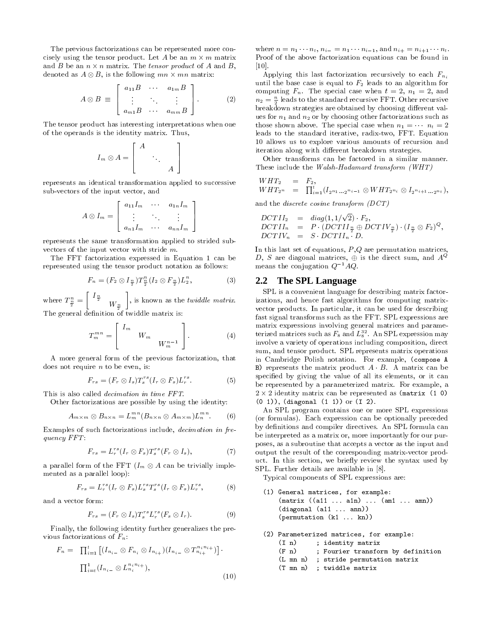The previous factorizations can be represented more concisely using the tensor product. Let A be an  $m \times m$  matrix and B be an  $n \times n$  matrix. The *tensor product* of A and B, denoted as  $A \otimes B$ , is the following  $mn \times mn$  matrix:

$$
A \otimes B \equiv \left[ \begin{array}{ccc} a_{11}B & \cdots & a_{1m}B \\ \vdots & \ddots & \vdots \\ a_{m1}B & \cdots & a_{mm}B \end{array} \right].
$$
 (2)

The tensor product has interesting interpretations when one of the operands is the identity matrix. Thus,

$$
I_m \otimes A = \begin{bmatrix} A & & & \\ & \ddots & & \\ & & A \end{bmatrix}
$$

represents an identical transformation applied to successive sub-vectors of the input vector, and

$$
A \otimes I_m = \left[ \begin{array}{ccc} a_{11}I_m & \cdots & a_{1n}I_m \\ \vdots & \ddots & \vdots \\ a_{n1}I_m & \cdots & a_{nn}I_m \end{array} \right]
$$

represents the same transformation applied to strided subvectors of the input vector with stride  $m$ .

The FFT factorization expressed in Equation 1 can be represented using the tensor product notation as follows:

$$
F_n = (F_2 \otimes I_{\frac{n}{2}}) T_{\frac{n}{2}}^n (I_2 \otimes F_{\frac{n}{2}}) L_2^n, \tag{3}
$$

where  $T^n_{\frac{n}{2}}=\left[\begin{array}{cc} I_{\frac{n}{2}} & \\ & W_{\frac{n}{2}}\end{array}\right],$  is known as the  $twiddle$   $matrix.$ The general definition of twiddle matrix is:

$$
T_m^{mn} = \begin{bmatrix} I_m & & \\ & W_m & \\ & & W_m^{n-1} \end{bmatrix} . \tag{4}
$$

A more general form of the previous factorization, that does not require  $n$  to be even, is:

$$
F_{rs} = (F_r \otimes I_s)T_s^{rs}(I_r \otimes F_s)L_r^{rs}.
$$
 (5)

This is also called *decimation in time FFT*.

Other factorizations are possible by using the identity:

$$
A_{m \times m} \otimes B_{n \times n} = L_m^{mn} (B_{n \times n} \otimes A_{m \times m}) L_n^{mn}.
$$
 (6)

Examples of such factorizations include, *decimation in fre* $quency$   $FFT:$ 

$$
F_{rs} = L_r^{rs} (I_r \otimes F_s) T_s^{rs} (F_r \otimes I_s), \qquad (7)
$$

a parallel form of the FFT  $(I_m \otimes A$  can be trivially implemented as a parallel loop):

$$
F_{rs} = L_r^{rs} (I_r \otimes F_s) L_s^{rs} T_s^{rs} (I_r \otimes F_s) L_r^{rs}, \qquad (8)
$$

and a vector form:

$$
F_{rs} = (F_r \otimes I_s) T_s^{rs} L_r^{rs} (F_s \otimes I_r).
$$
 (9)

Finally, the following identity further generalizes the previous factorizations of  $F_n$ :

$$
F_n = \prod_{i=1}^t \left[ (I_{n_{i-}} \otimes F_{n_i} \otimes I_{n_{i+}}) (I_{n_{i-}} \otimes T_{n_{i+}}^{n_i n_{i+}}) \right] \cdot \prod_{i=t}^1 (I_{n_{i-}} \otimes L_{n_i}^{n_i n_{i+}}),
$$
\n(10)

where  $n = n_1 \cdots n_t$ ,  $n_{i-1} = n_1 \cdots n_{i-1}$ , and  $n_{i+1} = n_{i+1} \cdots n_t$ . Proof of the above factorization equations can be found in  $\left[10\right]$ .

Applying this last factorization recursively to each  $F_{n,i}$ until the base case is equal to  $F_2$  leads to an algorithm for computing  $F_n$ . The special case when  $t = 2$ ,  $n_1 = 2$ , and  $n_2 = \frac{n}{2}$  leads to the standard recursive FFT. Other recursive breakdown strategies are obtained by choosing different values for  $n_1$  and  $n_2$  or by choosing other factorizations such as those shown above. The special case when  $n_1 = \cdots n_t = 2$ leads to the standard iterative, radix-two, FFT. Equation 10 allows us to explore various amounts of recursion and iteration along with different breakdown strategies.

Other transforms can be factored in a similar manner. These include the Walsh-Hadamard transform (WHT)

$$
WHT_2 = F_2,
$$
  
\n
$$
WHT_{2^n} = \prod_{i=1}^t (I_{2^{n_1} \dots 2^{n_{i-1}}} \otimes WHT_{2^{n_i}} \otimes I_{2^{n_i+1} \dots 2^{n_t}}),
$$

and the *discrete* cosine transform  $(DCT)$ 

$$
\begin{array}{rcl}\nDCTII_2 & = & diag(1, 1/\sqrt{2}) \cdot F_2, \\
DCTII_n & = & P \cdot (DCTII_{\frac{n}{2}} \oplus DCTIV_{\frac{n}{2}}) \cdot (I_{\frac{n}{2}} \otimes F_2)^Q, \\
DCTIV_n & = & S \cdot DCTII_n \cdot D.\n\end{array}
$$

In this last set of equations,  $P,Q$  are permutation matrices, D, S are diagonal matrices,  $\oplus$  is the direct sum, and  $A^Q$ means the conjugation  $Q^{-1}AQ$ .

# 2.2 The SPL Language

SPL is a convenient language for describing matrix factorizations, and hence fast algorithms for computing matrixvector products. In particular, it can be used for describing fast signal transforms such as the FFT. SPL expressions are matrix expressions involving general matrices and parameterized matrices such as  $F_8$  and  $L_8^{32}$ . An SPL expression may involve a variety of operations including composition, direct sum, and tensor product. SPL represents matrix operations in Cambridge Polish notation. For example, (compose A B) represents the matrix product  $A \cdot B$ . A matrix can be specified by giving the value of all its elements, or it can be represented by a parameterized matrix. For example, a  $2 \times 2$  identity matrix can be represented as (matrix (1 0)  $(0 1)$ , (diagonal  $(1 1)$ ) or  $(1 2)$ .

An SPL program contains one or more SPL expressions (or formulas). Each expression can be optionally preceded by definitions and compiler directives. An SPL formula can be interpreted as a matrix or, more importantly for our purposes, as a subroutine that accepts a vector as the input and output the result of the corresponding matrix-vector product. In this section, we briefly review the syntax used by SPL. Further details are available in [8].

Typical components of SPL expressions are:

(1) General matrices, for example:  $(\text{matrix} ((a11 ... a1n) ... (am1 ... amn))$  $(diagonal (a11 ... ann))$ (permutation (k1 ... kn))

```
(2) Parameterized matrices, for example:
```

```
; identity matrix
(I_n)(F n)
```
- ; Fourier transform by definition
- ; stride permutation matrix  $(L \text{ mn } n)$
- (T mn n) ; twiddle matrix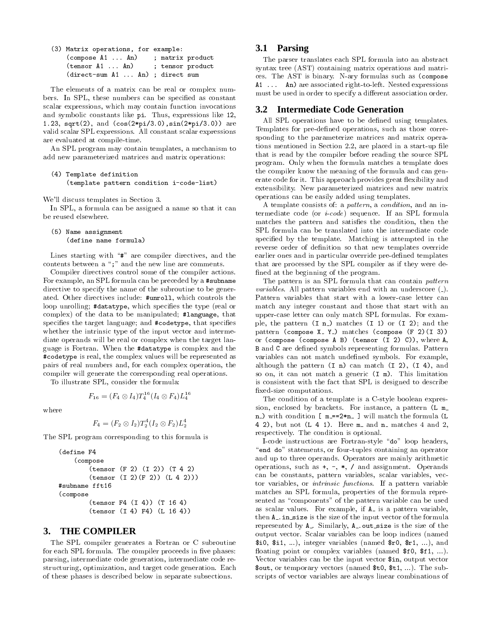| (3) Matrix operations, for example: |                  |
|-------------------------------------|------------------|
| $\text{(composite A1  An)}$         | ; matrix product |
| (tensor A1  An)                     | ; tensor product |
| (direct-sum A1  An) ; direct sum    |                  |

The elements of a matrix can be real or complex numbers. In SPL, these numbers can be specified as constant scalar expressions, which may contain function invocations and symbolic constants like pi. Thus, expressions like 12, 1.23, sqrt(2), and  $(cos(2*pi/3.0), sin(2*pi/3.0))$  are valid scalar SPL expressions. All constant scalar expressions are evaluated at compile-time.

An SPL program may contain templates, a mechanism to add new parameterized matrices and matrix operations:

```
(4) Template definition
    (template pattern condition i-code-list)
```
We'll discuss templates in Section 3.

In SPL, a formula can be assigned a name so that it can be reused elsewhere.

```
(5) Name assignment
    (define name formula)
```
Lines starting with " $\sharp$ " are compiler directives, and the contents between a ";" and the new line are comments.

Compiler directives control some of the compiler actions. For example, an SPL formula can be preceded by a #subname directive to specify the name of the subroutine to be generated. Other directives include: #unrol1, which controls the loop unrolling; #datatype, which specifies the type (real or complex) of the data to be manipulated; #language, that specifies the target language; and #codetype, that specifies whether the intrinsic type of the input vector and intermediate operands will be real or complex when the target language is Fortran. When the #datatype is complex and the #codetype is real, the complex values will be represented as pairs of real numbers and, for each complex operation, the compiler will generate the corresponding real operations.

To illustrate SPL, consider the formula:

$$
F_{16}=(F_4\otimes I_4)T_4^{16}(I_4\otimes F_4)L_4^{16}
$$

where

$$
F_4 = (F_2 \otimes I_2) T_2^4 (I_2 \otimes F_2) L_2^4
$$

The SPL program corresponding to this formula is

```
(define F4
    (compose
        (tensor (F 2) (I 2)) (T 4 2)(tensor (I 2)(F 2)) (L 4 2)))#subname fft16
(compose
        (tensor F4 (I 4)) (T 16 4)(tensor (I 4) F4) (L 16 4))
```
#### $3.$ **THE COMPILER**

The SPL compiler generates a Fortran or C subroutine for each SPL formula. The compiler proceeds in five phases: parsing, intermediate code generation, intermediate code restructuring, optimization, and target code generation. Each of these phases is described below in separate subsections.

### 3.1 Parsing

The parser translates each SPL formula into an abstract syntax tree (AST) containing matrix operations and matrices. The AST is binary. N-ary formulas such as (compose A1 ... An) are associated right-to-left. Nested expressions must be used in order to specify a different association order.

### 3.2 Intermediate Code Generation

All SPL operations have to be defined using templates. Templates for pre-defined operations, such as those corresponding to the parameterize matrices and matrix operations mentioned in Section 2.2, are placed in a start-up file that is read by the compiler before reading the source SPL program. Only when the formula matches a template does the compiler know the meaning of the formula and can generate code for it. This approach provides great flexibility and extensibility. New parameterized matrices and new matrix operations can be easily added using templates.

A template consists of: a pattern, a condition, and an intermediate code (or  $i\text{-}code$ ) sequence. If an SPL formula matches the pattern and satisfies the condition, then the SPL formula can be translated into the intermediate code specified by the template. Matching is attempted in the reverse order of definition so that new templates override earlier ones and in particular override pre-defined templates that are processed by the SPL compiler as if they were defined at the beginning of the program.

The pattern is an SPL formula that can contain pattern *variables*. All pattern variables end with an underscore  $($ .). Pattern variables that start with a lower-case letter can match any integer constant and those that start with an upper-case letter can only match SPL formulas. For example, the pattern  $(I n)$  matches  $(I 1)$  or  $(I 2)$ ; and the pattern (compose X\_ Y\_) matches (compose (F 2)(I 3)) or (compose (compose A B) (tensor (I 2) C)), where A, **B** and **C** are defined symbols representing formulas. Pattern variables can not match undefined symbols. For example, although the pattern  $(I_n)$  can match  $(I_2)$ ,  $(I_4)$ , and so on, it can not match a generic  $(I_m)$ . This limitation is consistent with the fact that SPL is designed to describe fixed size computations.

The condition of a template is a C-style boolean expression, enclosed by brackets. For instance, a pattern (L m n\_) with condition [ m\_==2\*n\_ ] will match the formula (L 4 2), but not  $(L 4 1)$ . Here m and n matches 4 and 2, respectively. The condition is optional.

I-code instructions are Fortran-style "do" loop headers, "end do" statements, or four-tuples containing an operator and up to three operands. Operators are mainly arithmetic operations, such as  $+, -, *, /$  and assignment. Operands can be constants, pattern variables, scalar variables, vector variables, or *intrinsic functions*. If a pattern variable matches an SPL formula, properties of the formula represented as "components" of the pattern variable can be used as scalar values. For example, if A is a pattern variable, then A<sub>-</sub> in size is the size of the input vector of the formula represented by A. Similarly, A. out size is the size of the output vector. Scalar variables can be loop indices (named \$10, \$11, ...), integer variables (named  $r0$ ,  $r1$ , ...), and floating point or complex variables (named \$10, \$11, ...). Vector variables can be the input vector \$in, output vector \$out, or temporary vectors (named  $t0$ ,  $t1$ , ...). The subscripts of vector variables are always linear combinations of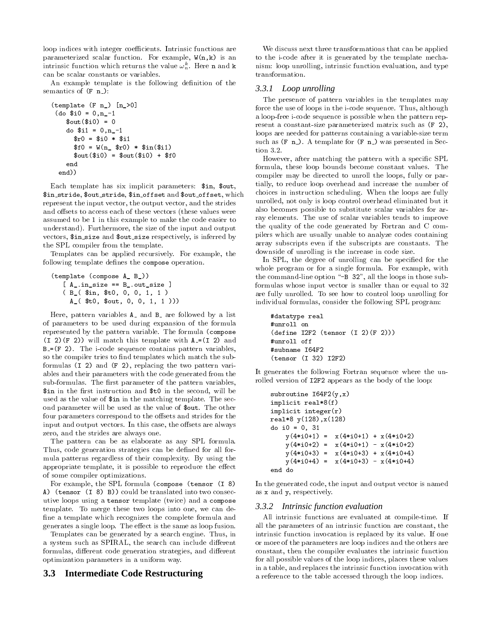loop indices with integer coefficients. Intrinsic functions are parameterized scalar function. For example,  $W(n, k)$  is an intrinsic function which returns the value  $\omega_n^k$ . Here **n** and **k** can be scalar constants or variables.

An example template is the following definition of the semantics of  $(F n_+)$ :

```
(template (F n) [n > 0])(do $i0 = 0.n -1$out ($i0) = 0do $i1 = 0, n_1-1$r0 = $i0 * $i1$f0 = W(n_ $r0) * $in ($i1)$out ($i0) = $out ($i0) + $f0end
  end))
```
Each template has six implicit parameters: \$in, \$out, \$in\_stride, \$out\_stride, \$in\_offset and \$out\_offset, which represent the input vector, the output vector, and the strides and offsets to access each of these vectors (these values were assumed to be 1 in this example to make the code easier to understand). Furthermore, the size of the input and output vectors, \$in\_size and \$out\_size respectively, is inferred by the SPL compiler from the template.

Templates can be applied recursively. For example, the following template defines the compose operation.

```
(template (compose A_ B_))
    [A_ \cdot \text{in}_ \text{size} == B_ \cdot \text{out}_ \text{size}](B_($in, $t0, 0, 0, 1, 1)
      A_-($t0, $out, 0, 0, 1, 1 ))
```
Here, pattern variables A and B are followed by a list of parameters to be used during expansion of the formula represented by the pattern variable. The formula (compose  $(I 2)(F 2)$  will match this template with  $A=(I 2)$  and  $B = (F 2)$ . The i-code sequence contains pattern variables, so the compiler tries to find templates which match the subformulas  $(I\ 2)$  and  $(F\ 2)$ , replacing the two pattern variables and their parameters with the code generated from the sub-formulas. The first parameter of the pattern variables, \$in in the first instruction and \$t0 in the second, will be used as the value of \$in in the matching template. The second parameter will be used as the value of \$out. The other four parameters correspond to the offsets and strides for the input and output vectors. In this case, the offsets are always zero, and the strides are always one.

The pattern can be as elaborate as any SPL formula. Thus, code generation strategies can be defined for all formula patterns regardless of their complexity. By using the appropriate template, it is possible to reproduce the effect of some compiler optimizations.

For example, the SPL formula (compose (tensor (I 8) A) (tensor (I 8) B)) could be translated into two consecutive loops using a tensor template (twice) and a compose template. To merge these two loops into one, we can define a template which recognizes the complete formula and generates a single loop. The effect is the same as loop fusion.

Templates can be generated by a search engine. Thus, in a system such as SPIRAL, the search can include different formulas, different code generation strategies, and different optimization parameters in a uniform way.

# 3.3 Intermediate Code Restructuring

We discuss next three transformations that can be applied to the i-code after it is generated by the template mechanism: loop unrolling, intrinsic function evaluation, and type transformation.

### 3.3.1 Loop unrolling

The presence of pattern variables in the templates may force the use of loops in the i-code sequence. Thus, although a loop-free i-code sequence is possible when the pattern represent a constant-size parameterized matrix such as  $(F 2)$ , loops are needed for patterns containing a variable size term such as  $(F n)$ . A template for  $(F n)$  was presented in Section  $3.2$ .

However, after matching the pattern with a specific SPL formula, these loop bounds become constant values. The compiler may be directed to unroll the loops, fully or partially, to reduce loop overhead and increase the number of choices in instruction scheduling. When the loops are fully unrolled, not only is loop control overhead eliminated but it also becomes possible to substitute scalar variables for array elements. The use of scalar variables tends to improve the quality of the code generated by Fortran and C compilers which are usually unable to analyze codes containing array subscripts even if the subscripts are constants. The downside of unrolling is the increase in code size.

In SPL, the degree of unrolling can be specified for the whole program or for a single formula. For example, with the command-line option "-B 32", all the loops in those subformulas whose input vector is smaller than or equal to 32 are fully unrolled. To see how to control loop unrolling for individual formulas, consider the following SPL program:

```
#datatype real
#unroll on
(define I2F2 (tensor (I 2)(F 2)))#unroll off
#subname I64F2
(tensor (I 32) I2F2)
```
It generates the following Fortran sequence where the unrolled version of I2F2 appears as the body of the loop:

```
subroutine I64F2(y, x)implicit real*8(f)
implicit integer(r)real*8 y(128), x(128)do i0 = 0, 31
   y(4*10+1) = x(4*10+1) + x(4*10+2)y(4*10+2) = x(4*10+1) - x(4*10+2)y(4*10+3) = x(4*10+3) + x(4*10+4)y(4*10+4) = x(4*10+3) - x(4*10+4)end do
```
In the generated code, the input and output vector is named as x and y, respectively.

### 3.3.2 Intrinsic function evaluation

All intrinsic functions are evaluated at compile-time. If all the parameters of an intrinsic function are constant, the intrinsic function invocation is replaced by its value. If one or more of the parameters are loop indices and the others are constant, then the compiler evaluates the intrinsic function for all possible values of the loop indices, places these values in a table, and replaces the intrinsic function invocation with a reference to the table accessed through the loop indices.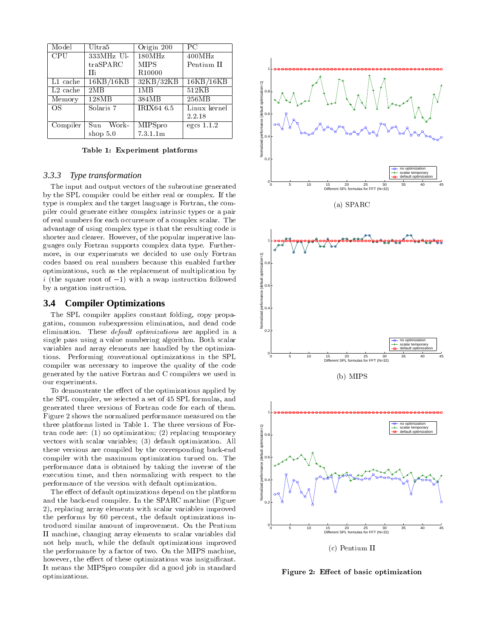| Model      | Ultra5       | Origin 200         | $_{\rm PC}$  |                                                                            |
|------------|--------------|--------------------|--------------|----------------------------------------------------------------------------|
| <b>CPU</b> | 333MHz Ul-   | 180MHz             | 400MHz       |                                                                            |
|            | traSPARC     | <b>MIPS</b>        | Pentium II   |                                                                            |
|            | Пi           | R <sub>10000</sub> |              | 1 <del>  0 0 0 0 0 0 0 0 0</del>                                           |
| L1 cache   | 16KB/16KB    | 32KB/32KB          | 16KB/16KB    |                                                                            |
| $L2$ cache | 2MB          | 1MB                | 512KB        |                                                                            |
| Memory     | 128MB        | 384MB              | 256MB        |                                                                            |
| OS.        | Solaris 7    | IRIX64 6.5         | Linux kernel |                                                                            |
|            |              |                    | 2.2.18       |                                                                            |
| Compiler   | Sun<br>Work- | MIPSpro            | egcs $1.1.2$ | $0 - 9$                                                                    |
|            | shop $5.0$   | 7.3.1.1m           |              | performance (default optimization=1)<br>$\frac{6}{\pi}$<br>$\frac{6}{\pi}$ |

 -

### *3.3.3 Type transformation*

 $\blacksquare$  . The contract of the contract of the contract of the contract of the contract of the contract of the contract of the contract of the contract of the contract of the contract of the contract of the contract of the & - - &- - - - -8 -- -8  - -   -  - - --- - - -8 -   - &- - --  -8  -( - -8 -  - - - -  -- H-(- -  -(-   $\blacksquare$  . The contract of the contract of the contract of the contract of the contract of the contract of the contract of the contract of the contract of the contract of the contract of the contract of the contract of the - -8-- - -- -   $\mathbf{W}$  $\blacksquare$  . The contract of the contract of the contract of the contract of the contract of the contract of the contract of the contract of the contract of the contract of the contract of the contract of the contract of the  $\imath$  (the square root of  $-1$ ) with a swap instruction followed  $\qquad \qquad \frac{1}{\pi}$  | &  - 

### **3.4 Compiler Optimizations**

 - - -    $\mathbf{R}$  . The set of the set of the set of the set of the set of the set of the set of the set of the set of the set of the set of the set of the set of the set of the set of the set of the set of the set of the set of t - -- -   - -  -   (- &-  J   $\sim$  . The second contract of the contract of  $\sim$  , the second of  $\sim$  , the second of  $\sim$  . The second of  $\sim$  - (- " complier was necessary to improve the quality of the code --- & - (-   - - - -Barat de la companya de la companya de la companya de la companya de la companya de la companya de la company

results the contract of the contract of the contract of the contract of the contract of the contract of the con - - - --- - -9    $\blacksquare$  $\blacksquare$  . The contract of the contract of the contract of the contract of the contract of the contract of the contract of the contract of the contract of the contract of the contract of the contract of the contract of the --  - &- 6 - -- (-  - -? #6% "E #<% - - (-  (&-E #7% - " -- (- - - & - - &!results are the contract of the contract of the contract of the contract of the contract of the contract of the  $\blacksquare$  . The set of the set of the set of the set of the set of the set of the set of the set of the set of the set of the set of the set of the set of the set of the set of the set of the set of the set of the set of the  $\mathbf{R}$  . The contract of the contract of the contract of the contract of the contract of the contract of the contract of the contract of the contract of the contract of the contract of the contract of the contract of th  $\mathbf{r}$  , and the contract of the contract of the contract of the contract of the contract of the contract of the contract of the contract of the contract of the contract of the contract of the contract of the contract o

 $\blacksquare$  . The state of the state of the state of the state of the state of the state of the state of the state of the state of the state of the state of the state of the state of the state of the state of the state of the  - &!- - -  - # - $-$  ), coppensionly model, accurated with the common contract complete the  $\sim$  - - & :. -- - - " -   (-- ) - -  $\mathbb{R}^n$  and  $\mathbb{R}^n$  . The contract of the contract of the contract of the contract of the contract of the contract of the contract of the contract of the contract of the contract of the contract of the contract of t results are the contract of the contract of the contract of the contract of the contract of the contract of the . The contract of the contract of the contract of the contract of the contract of the contract of the contract of the contract of the contract of the contract of the contract of the contract of the contract of the contrac  $\mathbb{P}$  . The set of the set of the set of the set of the set of the set of the set of the set of the set of the set of the set of the set of the set of the set of the set of the set of the set of the set of the set of t  $\mathbb{R}^n$  . The contract of the contract of the contract of the contract of the contract of the contract of the contract of the contract of the contract of the contract of the contract of the contract of the contract of optimizations.





- ! -! --"-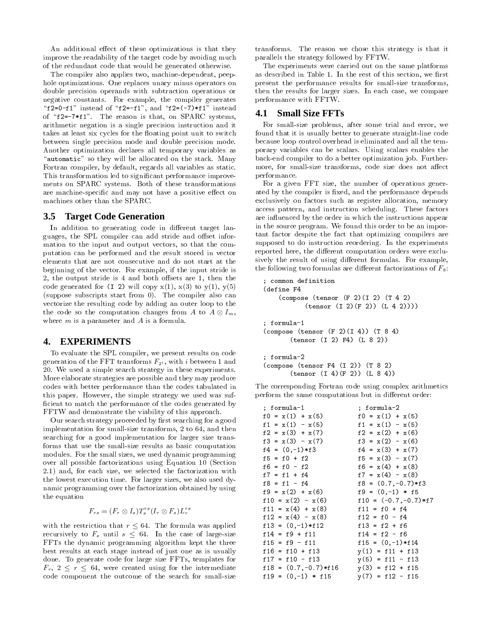An additional effect of these optimizations is that they improve the readability of the target code by avoiding much of the redundant code that would be generated otherwise.

The compiler also applies two, machine-dependent, peephole optimizations. One replaces unary minus operators on double precision operands with subtraction operations or negative constants. For example, the compiler generates "f2=0-f1" instead of "f2=-f1", and "f2=(-7) $*f1$ " instead of " $f2 = -7*f1$ ". The reason is that, on SPARC systems, arithmetic negation is a single precision instruction and it takes at least six cycles for the floating point unit to switch between single precision mode and double precision mode. Another optimization declares all temporary variables as "automatic" so they will be allocated on the stack. Many Fortran compiler, by default, regards all variables as static. This transformation led to significant performance improvements on SPARC systems. Both of these transformations are machine-specific and may not have a positive effect on machines other than the SPARC.

#### **Target Code Generation**  $3.5$

In addition to generating code in different target languages, the SPL compiler can add stride and offset information to the input and output vectors, so that the computation can be performed and the result stored in vector elements that are not consecutive and do not start at the beginning of the vector. For example, if the input stride is 2, the output stride is 4 and both offsets are 1, then the code generated for  $(I\ 2)$  will copy  $x(1)$ ,  $x(3)$  to  $y(1)$ ,  $y(5)$ (suppose subscripts start from 0). The compiler also can vectorize the resulting code by adding an outer loop to the the code so the computation changes from A to  $A \otimes I_m$ , where  $m$  is a parameter and  $A$  is a formula.

#### 4. **EXPERIMENTS**

To evaluate the SPL compiler, we present results on code generation of the FFT transforms  $F_{2i}$ , with i between 1 and 20. We used a simple search strategy in these experiments. More elaborate strategies are possible and they may produce codes with better performance than the codes tabulated in this paper. However, the simple strategy we used was sufficient to match the performance of the codes generated by FFTW and demonstrate the viability of this approach.

Our search strategy proceeded by first searching for a good implementation for small-size transforms, 2 to 64, and then searching for a good implementation for larger size transforms that use the small-size results as basic computation modules. For the small sizes, we used dynamic programming over all possible factorizations using Equation 10 (Section 2.1) and, for each size, we selected the factorization with the lowest execution time. For larger sizes, we also used dynamic programming over the factorization obtained by using the equation

$$
F_{rs} = (F_r \otimes I_s)T_s^{rs}(I_r \otimes F_s)L_r^{rs}
$$

with the restriction that  $r \leq 64$ . The formula was applied recursively to  $F_s$  until  $s \leq 64$ . In the case of large-size FFTs the dynamic programming algorithm kept the three best results at each stage instead of just one as is usually done. To generate code for large size FFTs, templates for  $F_r$ ,  $2 \leq r \leq 64$ , were created using for the intermediate code component the outcome of the search for small-size

transforms. The reason we chose this strategy is that it parallels the strategy followed by FFTW.

The experiments were carried out on the same platforms as described in Table 1. In the rest of this section, we first present the performance results for small-size transforms, then the results for larger sizes. In each case, we compare performance with FFTW.

#### 4.1 **Small Size FFTs**

For small-size problems, after some trial and error, we found that it is usually better to generate straight-line code because loop control overhead is eliminated and all the temporary variables can be scalars. Using scalars enables the back-end compiler to do a better optimization job. Furthermore, for small-size transforms, code size does not affect performance.

For a given FFT size, the number of operations generated by the compiler is fixed, and the performance depends exclusively on factors such as register allocation, memory access pattern, and instruction scheduling. These factors are influenced by the order in which the instructions appear in the source program. We found this order to be an important factor despite the fact that optimizing compilers are supposed to do instruction reordering. In the experiments reported here, the different computation orders were exclusively the result of using different formulas. For example, the following two formulas are different factorizations of  $F_8$ :

```
common definition
(define F4
    (compose (tensor (F 2)(I 2) (T 4 2)(tensor (I 2)(F 2)) (L 4 2)))); formula-1
(compose (tensor (F 2)(I 4)) (T 8 4)
       (tensor (I 2) F4) (L 8 2))
; formula-2
\text{(composite (tensor F4 (I 2)) (T 8 2)}(tensor (I 4)(F 2)) (L 8 4))
```
The corresponding Fortran code using complex arithmetics perform the same computations but in different order:

| ; formula-1             | ; formula-2             |
|-------------------------|-------------------------|
| $f0 = x(1) + x(5)$      | $f0 = x(1) + x(5)$      |
| $f1 = x(1) - x(5)$      | $f1 = x(1) - x(5)$      |
| $f2 = x(3) + x(7)$      | $f2 = x(2) + x(6)$      |
| $f3 = x(3) - x(7)$      | $f3 = x(2) - x(6)$      |
| $f4 = (0, -1)*f3$       | $f4 = x(3) + x(7)$      |
| $f5 = f0 + f2$          | $f5 = x(3) - x(7)$      |
| $f6 = f0 - f2$          | $f6 = x(4) + x(8)$      |
| $f7 = f1 + f4$          | $f7 = x(4) - x(8)$      |
| $f8 = f1 - f4$          | $f8 = (0.7, -0.7) * f3$ |
| $f9 = x(2) + x(6)$      | $f9 = (0,-1) * f5$      |
| $f10 = x(2) - x(6)$     | $f10 = (-0.7, -0.7)*f7$ |
| $f11 = x(4) + x(8)$     | $f11 = f0 + f4$         |
| $f12 = x(4) - x(8)$     | $f12 = f0 - f4$         |
| $f13 = (0,-1)*f12$      | $f13 = f2 + f6$         |
| $f14 = f9 + f11$        | $f14 = f2 - f6$         |
| $f15 = f9 - f11$        | $f15 = (0,-1)*f14$      |
| $f16 = f10 + f13$       | $y(1) = f11 + f13$      |
| $f17 = f10 - f13$       | $y(5) = f11 - f13$      |
| $f18 = (0.7, -0.7)*f16$ | $y(3) = f12 + f15$      |
| $f19 = (0,-1) * f15$    | $y(7) = f12 - f15$      |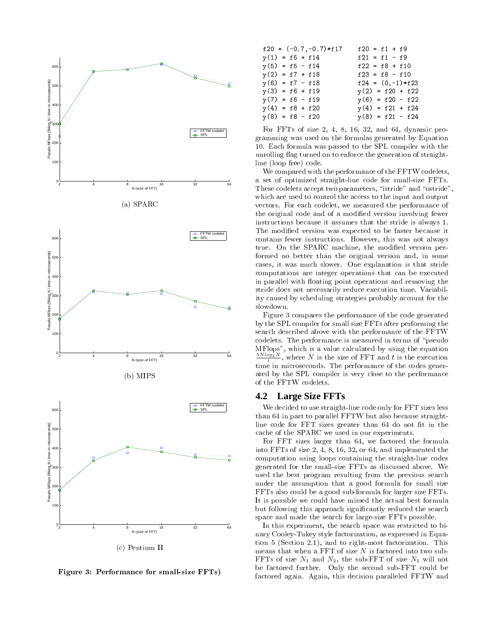

- # ! \$-" %

| $f20 = (-0.7, -0.7) * f17$ | $f20 = f1 + f9$    |
|----------------------------|--------------------|
| $y(1) = f5 + f14$          | $f21 = f1 - f9$    |
| $y(5) = f5 - f14$          | $f22 = f8 + f10$   |
| $y(2) = f7 + f18$          | $f23 = f8 - f10$   |
| $y(6) = f7 - f18$          | $f24 = (0,-1)*f23$ |
| $y(3) = f6 + f19$          | $y(2) = f20 + f22$ |
| $y(7) = f6 - f19$          | $y(6) = f20 - f22$ |
| $y(4) = f8 + f20$          | $y(4) = f21 + f24$ |
| $y(8) = f8 - f20$          | $y(8) = f21 - f24$ |

 "- < -4 6: 7<  :  gramming was used on the formulas generated by Equation 6. A   - - - - $\Box$  . The contract of the contract of the contract of the contract of the contract of the contract of the contract of the contract of the contract of the contract of the contract of the contract of the contract of the co - # --% -

- 그 사람들은 아이들의 사람들은 아이들의 사람들은 아이들의 사람들은 아이들의 사람들은 아이들의 사람들을 만들어 있다. 이 사람들은 아이들의 사람들은 아이들의 사람들의 사람들을 만들어 있다.  $\blacksquare$  . The contract of  $\blacksquare$  and  $\blacksquare$  . The contract of  $\blacksquare$  and  $\blacksquare$  . The contract of  $\blacksquare$ results to the contract of the contract of the contract of the contract of the contract of the contract of the - - - - -  (- - -- - -- --- -  -   5- (- (( -- &-- 
-  - -  6 - 100 - 100 - 100 - 100 - 100 - 100 - 100 - 100 - 100 - 100 - 100 - 100 - 100 - 100 - 100 - 100 - 100 - 100 - 1  -- H-(-   - 이 사이트 - 이 사이트 - 이 사이트 - 이 사이트 - 이 사이트 - 이 사이트 - 이 사이트 - 이 사이트 - 이 사이트 - 이 사이트 - 이 사이트 - 이 사이트 - 이 사이트 - 이 사이트  $\mathbf{M}$  , and the contract of the contract of the contract of the contract of the contract of the contract of the contract of the contract of the contract of the contract of the contract of the contract of the contract o  $\blacksquare$  . The second contract of the second contract of  $\blacksquare$  - - - -   &- -8-- - C -  -( -- - -- -- -8- - I& - & - - - &&  slowdown.

 $\mathbf{r}$  , and  $\mathbf{r}$  is the contract of the contract of the contract of the contract of the contract of the contract of the contract of the contract of the contract of the contract of the contract of the contract of th  $\mathbf{r}$  $\mathbb{R}^n$  . And the contract of the contract of the contract of the contract of the contract of the contract of the contract of the contract of the contract of the contract of the contract of the contract of the contract and the contract of the contract of the contract of the contract of the contract of the contract of the contract of the contract of the contract of the contract of the contract of the contract of the contract of the contra  $\mu$ Piops", which is a value calculated by using the equation  $\frac{3244}{100}$ , where N is the size of FFT and t is the execution time in microseconds. The performance of the codes gener-- & - - (- - - --

### **4.2 Large Size FFTs**

 $\blacksquare$ . The contract of the contract of the contract of the contract of  $\Lambda$  and  $\Lambda$  and  $\Lambda$ - - "- --  :- 5 - - - - - -8--

 "-  -  :- - - -  "- < - 4 6: 7< :-  --- - $\mathbf{r}$  , and  $\mathbf{r}$  , and  $\mathbf{r}$  , and  $\mathbf{r}$  , and  $\mathbf{r}$  , and  $\mathbf{r}$  , and  $\mathbf{r}$  , and  $\mathbf{r}$  , and  $\mathbf{r}$  , and  $\mathbf{r}$  , and  $\mathbf{r}$  , and  $\mathbf{r}$  , and  $\mathbf{r}$  , and  $\mathbf{r}$  , and  $\mathbf{r}$  ,  $\blacksquare$  $\mathbf{r}$  , and  $\mathbf{r}$  , and  $\mathbf{r}$  , and  $\mathbf{r}$  , and  $\mathbf{r}$  , and  $\mathbf{r}$  , and  $\mathbf{r}$  , and  $\mathbf{r}$  , and  $\mathbf{r}$  , and  $\mathbf{r}$  , and  $\mathbf{r}$  , and  $\mathbf{r}$  , and  $\mathbf{r}$  , and  $\mathbf{r}$  , and  $\mathbf{r}$  ,  $\mathbb{P}$  . The contract of  $\mathbb{P}$  $\mathbf{A}$  &- - (- - - &-  &  5 -- -- -  - - -  -"- &-

 -8-- - - -  -- & nary Cooley-Tukey style factorization, as expressed in Equa- $\mathcal{A}$  -formulation  $\mathcal{A}$  . The contract of  $\mathcal{A}$  is the contract of  $\mathcal{A}$  is the contract of  $\mathcal{A}$  "- ,  ,- - & "- ,  $\mathcal{A}$ -    - --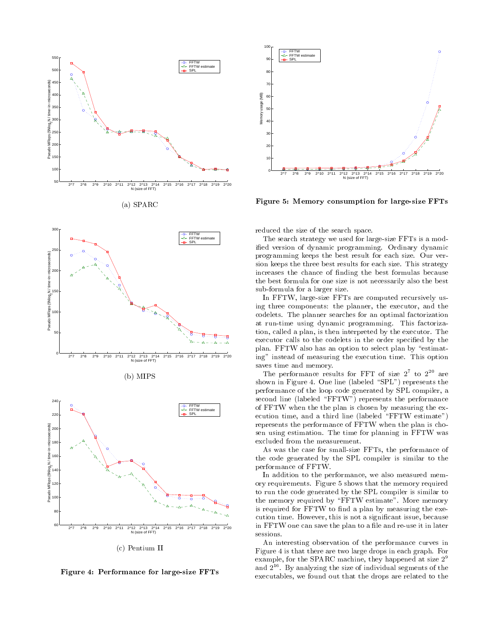

 $(a)$  SPARC







 $\blacksquare$ 

- & ! \$-" 



Figure 5: Memory consumption for large-size FFTs

and the state of the state of the state of the state of the state of the state of the state of the state of the

 $\blacksquare$  . The contract of  $\blacksquare$  $\mathbf{r}$  , and  $\mathbf{r}$  , and  $\mathbf{r}$  , and  $\mathbf{r}$  , and  $\mathbf{r}$  , and  $\mathbf{r}$  , and  $\mathbf{r}$  , and  $\mathbf{r}$  , and  $\mathbf{r}$  , and  $\mathbf{r}$  , and  $\mathbf{r}$  , and  $\mathbf{r}$  , and  $\mathbf{r}$  , and  $\mathbf{r}$  , and  $\mathbf{r}$  ,  !-- - &- - - "- ) (- !-- - -- &- - - "- - -- - - 5 - &-  &-- - &-  - "- --  - &- $\blacksquare$  . The contract of the contract of the contract of the contract of the contract of the contract of the contract of the contract of the contract of the contract of the contract of the contract of the contract of the

  -"- - - -(-  $\blacksquare$  . The contract of the contract of the contract of the contract of the contract of the contract of the contract of the contract of the contract of the contract of the contract of the contract of the contract of the  $\blacksquare$  . The contract of the contract of the contract of the contract of the contract of the contract of the contract of the contract of the contract of the contract of the contract of the contract of the contract of the  $\blacksquare$  . The state of the state of the state of the state of the state of the state of the state of the state of the state of the state of the state of the state of the state of the state of the state of the state of the -  - --- & - -8- --8-  - -- - - -5- & -    --  & \*- + - - - -8- - (- -  -

The performance results for FFT of size  $2-$  to  $2-$  are  $\blacksquare$  . The set of the set of the set of the set of the set of the set of the set of the set of the set of the set of the set of the set of the set of the set of the set of the set of the set of the set of the set of the  $\mathbf{r}$  , and  $\mathbf{r}$  , and  $\mathbf{r}$  , and  $\mathbf{r}$  , and  $\mathbf{r}$  , and  $\mathbf{r}$  , and  $\mathbf{r}$  , and  $\mathbf{r}$  , and  $\mathbf{r}$  , and  $\mathbf{r}$  , and  $\mathbf{r}$  , and  $\mathbf{r}$  , and  $\mathbf{r}$  , and  $\mathbf{r}$  , and  $\mathbf{r}$  , the contract of the contract of the contract of the contract of the contract of the contract of the contract of  $\mathbb{R}$  . The contract of the contract of the contract of the contract of the contract of the contract of the contract of the contract of the contract of the contract of the contract of the contract of the contract of th  $\blacksquare$  . The contract of the contract of the contract of the contract of the contract of the contract of the contract of the contract of the contract of the contract of the contract of the contract of the contract of the --- - -- - - - - - -  

  - - "- - --  $\blacksquare$  . The contract of the contract of the contract of the contract of the contract of the contract of the contract of the contract of the contract of the contract of the contract of the contract of the contract of the the contract of the contract of the contract of the contract of the contract of the contract of the contract of

  - -- -  -- ory requirements. Figure 5 snows that the memory required  $\mathbf{r}$ the memory required by "FFIW estimate". More memory is required for FFTW to find a plan by measuring the exe- - H-(-  5 - &-- -  (- -   5-  -- sessions.

 $\blacksquare$  . The contract of the contract of the contract of the contract of the contract of the contract of the contract of the contract of the contract of the contract of the contract of the contract of the contract of the  $\mathbb{R}^n$  . The contract of the contract of the contract of the contract of the contract of the contract of the contract of the contract of the contract of the contract of the contract of the contract of the contract of results the contract of the contract of the contract of the contract of the contract of the contract of the contract of the contract of the contract of the contract of the contract of the contract of the contract of the co and  $2^{--}$ . By analyzing the size of individual segments of the  $\,$ -8-&- -  - - -- -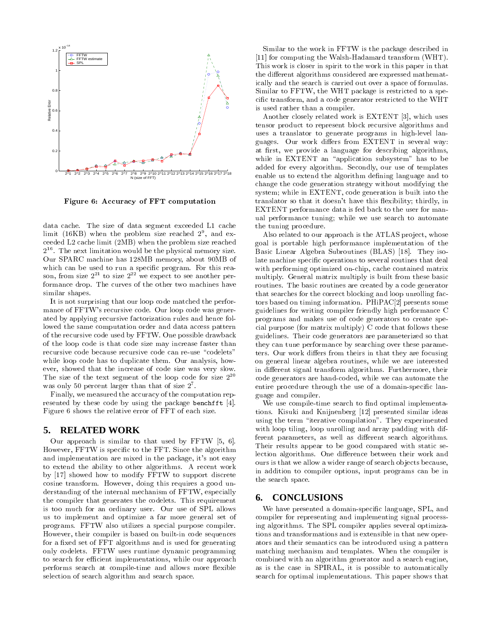

Figure 6: Accuracy of FFT computation

data cache. The size of data segment exceeded L1 cache limit (16KB) when the problem size reached  $2^9$ , and exceeded L2 cache limit (2MB) when the problem size reached  $2^{16}$ . The next limitation would be the physical memory size. Our SPARC machine has 128MB memory, about 90MB of which can be used to run a specific program. For this reason, from size  $2^{21}$  to size  $2^{22}$  we expect to see another performance drop. The curves of the other two machines have similar shapes.

It is not surprising that our loop code matched the performance of FFTW's recursive code. Our loop code was generated by applying recursive factorization rules and hence followed the same computation order and data access pattern of the recursive code used by FFTW. One possible drawback of the loop code is that code size may increase faster than recursive code because recursive code can re-use "codelets" while loop code has to duplicate them. Our analysis, however, showed that the increase of code size was very slow. The size of the text segment of the loop code for size  $2^{20}$ was only 50 percent larger than that of size  $2^7$ .

Finally, we measured the accuracy of the computation represented by these code by using the package benchfft [4]. Figure 6 shows the relative error of FFT of each size.

#### 5. **RELATED WORK**

Our approach is similar to that used by  $FFTW$  [5, 6]. However, FFTW is specific to the FFT. Since the algorithm and implementation are mixed in the package, it's not easy to extend the ability to other algorithms. A recent work by [17] showed how to modify FFTW to support discrete cosine transform. However, doing this requires a good understanding of the internal mechanism of FFTW, especially the compiler that generates the codelets. This requirement is too much for an ordinary user. Our use of SPL allows us to implement and optimize a far more general set of programs. FFTW also utilizes a special purpose compiler. However, their compiler is based on built-in code sequences for a fixed set of FFT algorithms and is used for generating only codelets. FFTW uses runtime dynamic programming to search for efficient implementations, while our approach performs search at compile-time and allows more flexible selection of search algorithm and search space.

Similar to the work in FFTW is the package described in [11] for computing the Walsh-Hadamard transform (WHT). This work is closer in spirit to the work in this paper in that the different algorithms considered are expressed mathematically and the search is carried out over a space of formulas. Similar to FFTW, the WHT package is restricted to a specific transform, and a code generator restricted to the WHT is used rather than a compiler.

Another closely related work is EXTENT [3], which uses tensor product to represent block recursive algorithms and uses a translator to generate programs in high-level languages. Our work differs from EXTENT in several way: at first, we provide a language for describing algorithms, while in EXTENT an "application subsystem" has to be added for every algorithm. Secondly, our use of templates enable us to extend the algorithm defining language and to change the code generation strategy without modifying the system; while in EXTENT, code generation is built into the translator so that it doesn't have this flexibility; thirdly, in EXTENT performance data is fed back to the user for manual performance tuning; while we use search to automate the tuning procedure.

Also related to our approach is the ATLAS project, whose goal is portable high performance implementation of the Basic Linear Algebra Subroutines (BLAS) [18]. They isolate machine specific operations to several routines that deal with performing optimized on-chip, cache contained matrix multiply. General matrix multiply is built from these basic routines. The basic routines are created by a code generator that searches for the correct blocking and loop unrolling factors based on timing information. PHiPAC[2] presents some guidelines for writing compiler friendly high performance C programs and makes use of code generators to create special purpose (for matrix multiply) C code that follows these guidelines. Their code generators are parameterized so that they can tune performance by searching over these parameters. Our work differs from theirs in that they are focusing on general linear algebra routines, while we are interested in different signal transform algorithms. Furthermore, their code generators are hand-coded, while we can automate the entire procedure through the use of a domain-specific language and compiler.

We use compile-time search to find optimal implementations. Kisuki and Knijnenberg [12] presented similar ideas using the term "iterative compilation". They experimented with loop tiling, loop unrolling and array padding with different parameters, as well as different search algorithms. Their results appear to be good compared with static selection algorithms. One difference between their work and ours is that we allow a wider range of search objects because, in addition to compiler options, input programs can be in the search space.

#### **CONCLUSIONS** 6.

We have presented a domain-specific language, SPL, and compiler for representing and implementing signal processing algorithms. The SPL compiler applies several optimizations and transformations and is extensible in that new operators and their semantics can be introduced using a pattern matching mechanism and templates. When the compiler is combined with an algorithm generator and a search engine, as is the case in SPIRAL, it is possible to automatically search for optimal implementations. This paper shows that